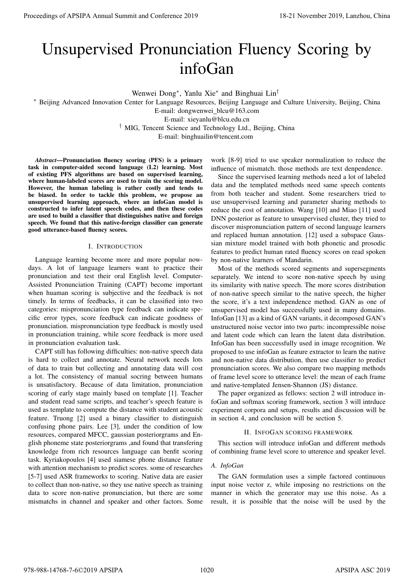# Unsupervised Pronunciation Fluency Scoring by infoGan

Wenwei Dong<sup>∗</sup> , Yanlu Xie<sup>∗</sup> and Binghuai Lin†

<sup>∗</sup> Beijing Advanced Innovation Center for Language Resources, Beijing Language and Culture University, Beijing, China E-mail: dongwenwei blcu@163.com E-mail: xieyanlu@blcu.edu.cn

† MIG, Tencent Science and Technology Ltd., Beijing, China

E-mail: binghuailin@tencent.com

*Abstract*—Pronunciation fluency scoring (PFS) is a primary task in computer-aided second language (L2) learning. Most of existing PFS algorithms are based on supervised learning, where human-labeled scores are used to train the scoring model. However, the human labeling is rather costly and tends to be biased. In order to tackle this problem, we propose an unsupervised learning approach, where an infoGan model is constructed to infer latent speech codes, and then these codes are used to build a classifier that distinguishes native and foreign speech. We found that this native-foreign classifier can generate good utterance-based fluency scores.

## I. INTRODUCTION

Language learning become more and more popular nowdays. A lot of language learners want to practice their pronunciation and test their oral English level. Computer-Assisted Pronunciation Training (CAPT) become important when huaman scoring is subjective and the feedback is not timely. In terms of feedbacks, it can be classified into two categories: mispronunciation type feedback can indicate specific error types, score feedback can indicate goodness of pronunciation. mispronunciation type feedback is mostly used in pronunciation training, while score feedback is more used in pronunciation evaluation task.

CAPT still has following difficulties: non-native speech data is hard to collect and annotate. Neural network needs lots of data to train but collecting and annotating data will cost a lot. The consistency of manual socring between humans is unsatisfactory. Because of data limitation, pronunciation scoring of early stage mainly based on template [1]. Teacher and student read same scripts, and teacher's speech feature is used as template to compute the distance with student acoustic feature. Truong [2] used a binary classifier to distinguish confusing phone pairs. Lee [3], under the condition of low resources, compared MFCC, gaussian posteriorgrams and English phoneme state posteriorgrams ,and found that transfering knowledge from rich resources language can benfit scoring task. Kyriakopoulos [4] used siamese phone distance feature with attention mechanism to predict scores. some of researches [5-7] used ASR frameworks to scoring. Native data are easier to collect than non-native, so they use native speech as training data to score non-native pronunciation, but there are some mismatchs in channel and speaker and other factors. Some **Proceedings of APSIPA Annual Summit and Conference 2019<br>
111.1 Summit and Conference 2019 18-21 November 2019 18-21 November 2019 18-21 November 2019 18-21 November 2019 18-988-14768-7-6020 18:00 18:00 18:00 18:00 18:00** 

work [8-9] tried to use speaker normalization to reduce the influence of mismatch. those methods are text denpendence.

Since the supervised learning methods need a lot of labeled data and the templated methods need same speech contents from both teacher and student. Some researchers tried to use unsupervised learning and parameter sharing methods to reduce the cost of annotation. Wang [10] and Miao [11] used DNN posterior as feature to unsupervised cluster, they tried to discover mispronunciation pattern of second language learners and replaced human annotation. [12] used a subspace Gaussian mixture model trained with both phonetic and prosodic features to predict human rated fluency scores on read spoken by non-native learners of Mandarin.

Most of the methods scored segments and supersegments separately. We intend to score non-native speech by using its similarity with native speech. The more scores distribution of non-native speech similar to the native speech, the higher the score, it's a text independence method. GAN as one of unsupervised model has successfully used in many domains. InfoGan [13] as a kind of GAN variants, it decomposed GAN's unstructured noise vector into two parts: incompressible noise and latent code which can learn the latent data distribution. InfoGan has been successfully used in image recognition. We proposed to use infoGan as feature extractor to learn the native and non-native data distribution, then use classifier to predict pronunciation scores. We also compare two mapping methods of frame level score to utterance level: the mean of each frame and native-templated Jensen-Shannon (JS) distance.

The paper organized as fellows: section 2 will introduce infoGan and softmax scoring framework, section 3 will intrduce experiment corpora and setups, results and discussion will be in section 4, and conclusion will be section 5.

# II. INFOGAN SCORING FRAMEWORK

This section will introduce infoGan and different methods of combining frame level score to utterence and speaker level.

## *A. InfoGan*

The GAN formulation uses a simple factored continuous input noise vector z, while imposing no restrictions on the manner in which the generator may use this noise. As a result, it is possible that the noise will be used by the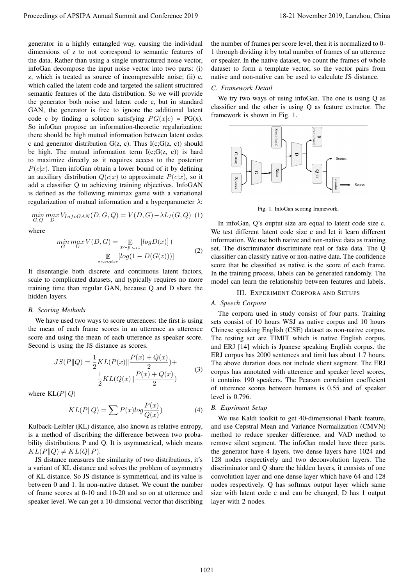generator in a highly entangled way, causing the individual dimensions of z to not correspond to semantic features of the data. Rather than using a single unstructured noise vector, infoGan decompose the input noise vector into two parts: (i) z, which is treated as source of incompressible noise; (ii) c, which called the latent code and targeted the salient structured semantic features of the data distribution. So we will provide the generator both noise and latent code c, but in standard GAN, the generator is free to ignore the additional latent code c by finding a solution satisfying  $PG(x|c) = PG(x)$ . So infoGan propose an information-theoretic regularization: there should be high mutual information between latent codes c and generator distribution  $G(z, c)$ . Thus  $I(c; G(z, c))$  should be high. The mutual information term  $I(c;G(z, c))$  is hard to maximize directly as it requires access to the posterior  $P(c|x)$ . Then infoGan obtain a lower bound of it by defining an auxiliary distribution  $Q(c|x)$  to approximate  $P(c|x)$ , so it add a classifier Q to achieving training objectives. InfoGAN is defined as the following minimax game with a variational regularization of mutual information and a hyperparameter  $\lambda$ : Proceedings of APSIPA Annual Summit at Conference 2019<br>
manner in a 1949 conference 2019 conference 2019 conference 2019 conference 2019 conference 2019 conference 2019<br>
diffusion of 4 and conference 2019 common factors o

$$
\min_{G,Q} \max_D V_{InfoGAN}(D, G, Q) = V(D, G) - \lambda L_I(G, Q)
$$
 (1)

where

$$
\min_{G} \max_{D} V(D, G) = \mathop{\mathbb{E}}_{x \sim p_{data}} [log D(x)] +
$$
  

$$
\mathop{\mathbb{E}}_{z \sim noise} [log(1 - D(G(z)))] \tag{2}
$$

It disentangle both discrete and continuous latent factors, scale to complicated datasets, and typically requires no more training time than regular GAN, because Q and D share the hidden layers.

#### *B. Scoring Methods*

We have used two ways to score utterences: the first is using the mean of each frame scores in an utterence as utterence score and using the mean of each utterence as speaker score. Second is using the JS distance as scores.

$$
JS(P||Q) = \frac{1}{2}KL(P(x)||\frac{P(x) + Q(x)}{2}) + \frac{1}{2}KL(Q(x)||\frac{P(x) + Q(x)}{2})
$$
(3)

where  $KL(P||Q)$ 

$$
KL(P||Q) = \sum P(x)log\frac{P(x)}{Q(x)}\tag{4}
$$

Kulback-Leibler (KL) distance, also known as relative entropy, is a method of discribing the difference between two probability distributions P and Q. It is asymmetrical, which means  $KL(P\|Q) \neq KL(Q\|P).$ 

JS distance measures the similarity of two distributions, it's a variant of KL distance and solves the problem of asymmetry of KL distance. So JS distance is symmetrical, and its value is between 0 and 1. In non-native dataset. We count the number of frame scores at 0-10 and 10-20 and so on at utterence and speaker level. We can get a 10-dimsional vector that discribing

the number of frames per score level, then it is normalized to 0- 1 through dividing it by total number of frames of an utterence or speaker. In the native dataset, we count the frames of whole dataset to form a template vector, so the vector pairs from native and non-native can be used to calculate JS distance.

#### *C. Framework Detail*

We try two ways of using infoGan. The one is using Q as classifier and the other is using Q as feature extractor. The framework is shown in Fig. 1.



Fig. 1. InfoGan scoring framework.

In infoGan, Q's ouptut size are equal to latent code size c. We test different latent code size c and let it learn different information. We use both native and non-native data as training set. The discriminator discriminate real or fake data. The Q classifier can classify native or non-native data. The confidence score that be classified as native is the score of each frame. In the training process, labels can be generated randomly. The model can learn the relationship between features and labels.

# III. EXPERIMENT CORPORA AND SETUPS

## *A. Speech Corpora*

The corpora used in study consist of four parts. Training sets consist of 10 hours WSJ as native corpus and 10 hours Chinese speaking English (CSE) dataset as non-native corpus. The testing set are TIMIT which is native English corpus, and ERJ [14] which is Jpanese speaking English corpus. the ERJ corpus has 2000 sentences and timit has about 1.7 hours. The above duration does not include slient segment. The ERJ corpus has annotated with utterence and speaker level scores, it contains 190 speakers. The Pearson correlation coefficient of utterence scores between humans is 0.55 and of speaker level is 0.796.

## *B. Expriment Setup*

We use Kaldi toolkit to get 40-dimensional Fbank feature, and use Cepstral Mean and Variance Normalization (CMVN) method to reduce speaker difference, and VAD method to remove silent segment. The infoGan model have three parts. the generator have 4 layers, two dense layers have 1024 and 128 nodes respectively and two deconvolution layers. The discriminator and Q share the hidden layers, it consists of one convolution layer and one dense layer which have 64 and 128 nodes respectively. Q has softmax output layer which same size with latent code c and can be changed, D has 1 output layer with 2 nodes.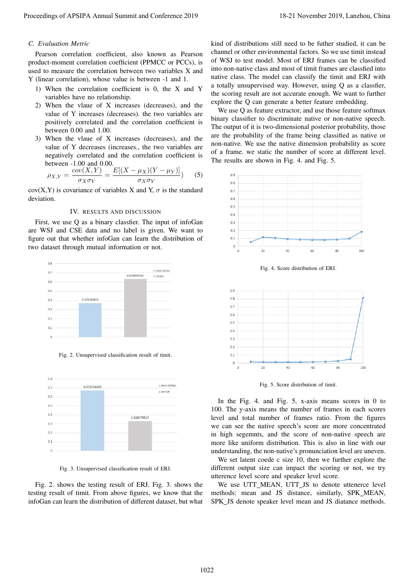# *C. Evaluation Metric*

Pearson correlation coefficient, also known as Pearson product-moment correlation coefficient (PPMCC or PCCs), is used to measure the correlation between two variables X and Y (linear correlation), whose value is between -1 and 1.

- 1) When the correlation coefficient is 0, the X and Y variables have no relationship.
- 2) When the vlaue of X increases (decreases), and the value of Y increases (decreases). the two variables are positively correlated and the correlation coefficient is between 0.00 and 1.00.
- 3) When the vlaue of X increases (decreases), and the value of Y decreases (increases., the two variables are negatively correlated and the correlation coefficient is between -1.00 and 0.00.

$$
\rho_{X,Y} = \frac{cov(X,Y)}{\sigma_X \sigma_Y} = \frac{E[(X - \mu_X)(Y - \mu_Y)]}{\sigma_X \sigma_Y} \tag{5}
$$

cov(X,Y) is covariance of variables X and Y,  $\sigma$  is the standard deviation.

#### IV. RESULTS AND DISCUSSION

First, we use Q as a binary classfier. The input of infoGan are WSJ and CSE data and no label is given. We want to figure out that whether infoGan can learn the distribution of two dataset through mutual information or not.



Fig. 2. Unsupervised classification result of timit.



Fig. 3. Unsupervised classification result of ERJ.

Fig. 2. shows the testing result of ERJ. Fig. 3. shows the testing result of timit. From above figures, we know that the infoGan can learn the distribution of different dataset, but what

kind of distributions still need to be futher studied, it can be channel or other environmental factors. So we use timit instead of WSJ to test model. Most of ERJ frames can be classified into non-native class and most of timit frames are classfied into native class. The model can classify the timit and ERJ with a totally unsupervised way. However, using Q as a classfier, the scoring result are not accurate enough. We want to further explore the Q can generate a better feature embedding.

We use Q as feature extractor, and use those feature softmax binary classifier to discriminate native or non-native speech. The output of it is two-dimensional posterior probability, those are the probability of the frame being classified as native or non-native. We use the native dimension probability as score of a frame. we static the number of score at different level. The results are shown in Fig. 4. and Fig. 5.



Fig. 4. Score distribution of ERJ.



Fig. 5. Score distribution of timit.

In the Fig. 4. and Fig. 5, x-axis means scores in 0 to 100. The y-axis means the number of frames in each scores level and total number of frames ratio. From the figures we can see the native speech's score are more concentrated in high segemnts, and the score of non-native speech are more like uniform distribution. This is also in line with our understanding, the non-native's pronunciation level are uneven.

We set latent coede c size 10, then we further explore the different output size can impact the scoring or not, we try utterence level score and speaker level score.

We use UTT\_MEAN, UTT\_JS to denote uttenerce level methods: mean and JS distance, similarly, SPK MEAN, SPK\_JS denote speaker level mean and JS diatance methods.